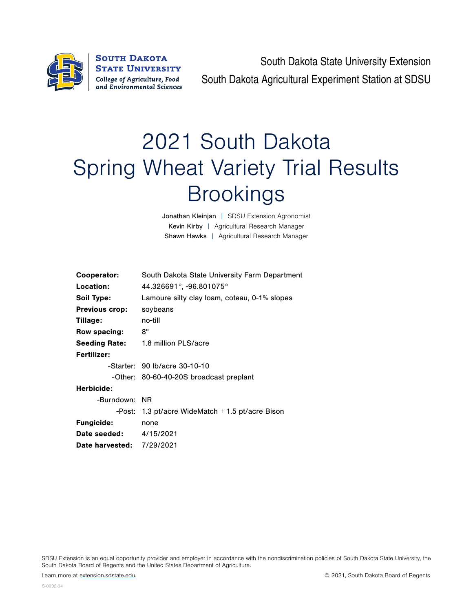

**SOUTH DAKOTA STATE UNIVERSITY** College of Agriculture, Food and Environmental Sciences

South Dakota State University Extension South Dakota Agricultural Experiment Station at SDSU

## 2021 South Dakota Spring Wheat Variety Trial Results **Brookings**

Jonathan Kleinjan | SDSU Extension Agronomist Kevin Kirby | Agricultural Research Manager Shawn Hawks | Agricultural Research Manager

| Cooperator:                      | South Dakota State University Farm Department      |  |  |  |  |  |
|----------------------------------|----------------------------------------------------|--|--|--|--|--|
|                                  |                                                    |  |  |  |  |  |
| Location:                        | $44.326691^{\circ}$ , -96.801075 $^{\circ}$        |  |  |  |  |  |
| Soil Type:                       | Lamoure silty clay loam, coteau, 0-1% slopes       |  |  |  |  |  |
| <b>Previous crop:</b>            | soybeans                                           |  |  |  |  |  |
| Tillage:                         | no-till                                            |  |  |  |  |  |
| Row spacing:                     | 8"                                                 |  |  |  |  |  |
| <b>Seeding Rate:</b>             | 1.8 million PLS/acre                               |  |  |  |  |  |
| Fertilizer:                      |                                                    |  |  |  |  |  |
|                                  | -Starter: 90 lb/acre 30-10-10                      |  |  |  |  |  |
|                                  | -Other: 80-60-40-20S broadcast preplant            |  |  |  |  |  |
| Herbicide:                       |                                                    |  |  |  |  |  |
| -Burndown: NR                    |                                                    |  |  |  |  |  |
|                                  | -Post: 1.3 pt/acre WideMatch $+$ 1.5 pt/acre Bison |  |  |  |  |  |
| <b>Fungicide:</b>                | none                                               |  |  |  |  |  |
| <b>Date seeded:</b> 4/15/2021    |                                                    |  |  |  |  |  |
| <b>Date harvested: 7/29/2021</b> |                                                    |  |  |  |  |  |
|                                  |                                                    |  |  |  |  |  |

SDSU Extension is an equal opportunity provider and employer in accordance with the nondiscrimination policies of South Dakota State University, the South Dakota Board of Regents and the United States Department of Agriculture.